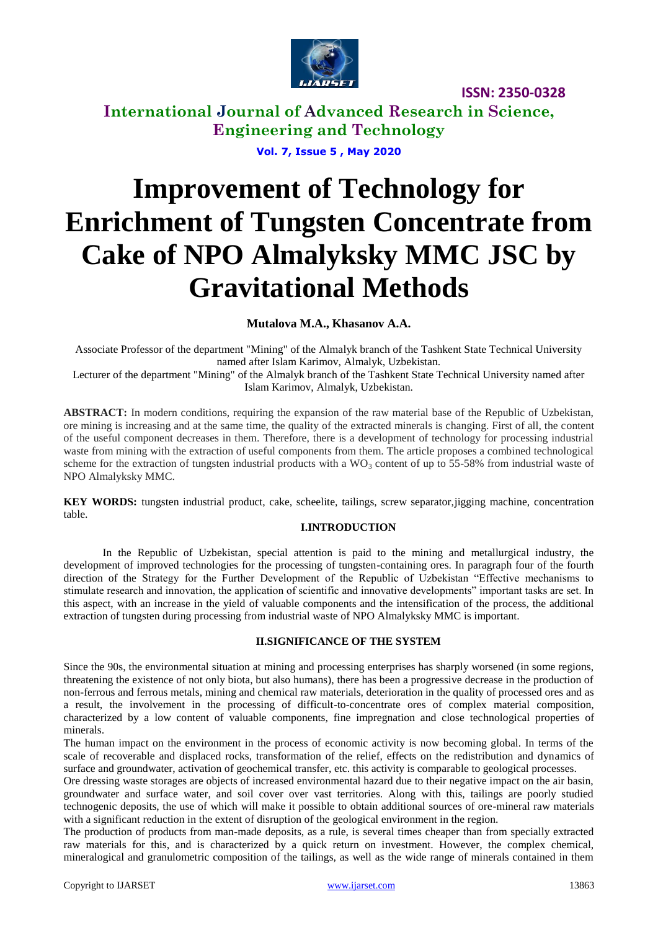

**International Journal of Advanced Research in Science, Engineering and Technology**

**Vol. 7, Issue 5 , May 2020**

# **Improvement of Technology for Enrichment of Tungsten Concentrate from Cake of NPO Almalyksky MMC JSC by Gravitational Methods**

**Mutalova M.A., Khasanov A.A.**

Associate Professor of the department "Mining" of the Almalyk branch of the Tashkent State Technical University named after Islam Karimov, Almalyk, Uzbekistan.

Lecturer of the department "Mining" of the Almalyk branch of the Tashkent State Technical University named after Islam Karimov, Almalyk, Uzbekistan.

**ABSTRACT:** In modern conditions, requiring the expansion of the raw material base of the Republic of Uzbekistan, ore mining is increasing and at the same time, the quality of the extracted minerals is changing. First of all, the content of the useful component decreases in them. Therefore, there is a development of technology for processing industrial waste from mining with the extraction of useful components from them. The article proposes a combined technological scheme for the extraction of tungsten industrial products with a WO<sub>3</sub> content of up to 55-58% from industrial waste of NPO Almalyksky MMC.

**KEY WORDS:** tungsten industrial product, cake, scheelite, tailings, screw separator,jigging machine, concentration table.

#### **I.INTRODUCTION**

In the Republic of Uzbekistan, special attention is paid to the mining and metallurgical industry, the development of improved technologies for the processing of tungsten-containing ores. In paragraph four of the fourth direction of the Strategy for the Further Development of the Republic of Uzbekistan "Effective mechanisms to stimulate research and innovation, the application of scientific and innovative developments" important tasks are set. In this aspect, with an increase in the yield of valuable components and the intensification of the process, the additional extraction of tungsten during processing from industrial waste of NPO Almalyksky MMC is important.

#### **II.SIGNIFICANCE OF THE SYSTEM**

Since the 90s, the environmental situation at mining and processing enterprises has sharply worsened (in some regions, threatening the existence of not only biota, but also humans), there has been a progressive decrease in the production of non-ferrous and ferrous metals, mining and chemical raw materials, deterioration in the quality of processed ores and as a result, the involvement in the processing of difficult-to-concentrate ores of complex material composition, characterized by a low content of valuable components, fine impregnation and close technological properties of minerals.

The human impact on the environment in the process of economic activity is now becoming global. In terms of the scale of recoverable and displaced rocks, transformation of the relief, effects on the redistribution and dynamics of surface and groundwater, activation of geochemical transfer, etc. this activity is comparable to geological processes.

Ore dressing waste storages are objects of increased environmental hazard due to their negative impact on the air basin, groundwater and surface water, and soil cover over vast territories. Along with this, tailings are poorly studied technogenic deposits, the use of which will make it possible to obtain additional sources of ore-mineral raw materials with a significant reduction in the extent of disruption of the geological environment in the region.

The production of products from man-made deposits, as a rule, is several times cheaper than from specially extracted raw materials for this, and is characterized by a quick return on investment. However, the complex chemical, mineralogical and granulometric composition of the tailings, as well as the wide range of minerals contained in them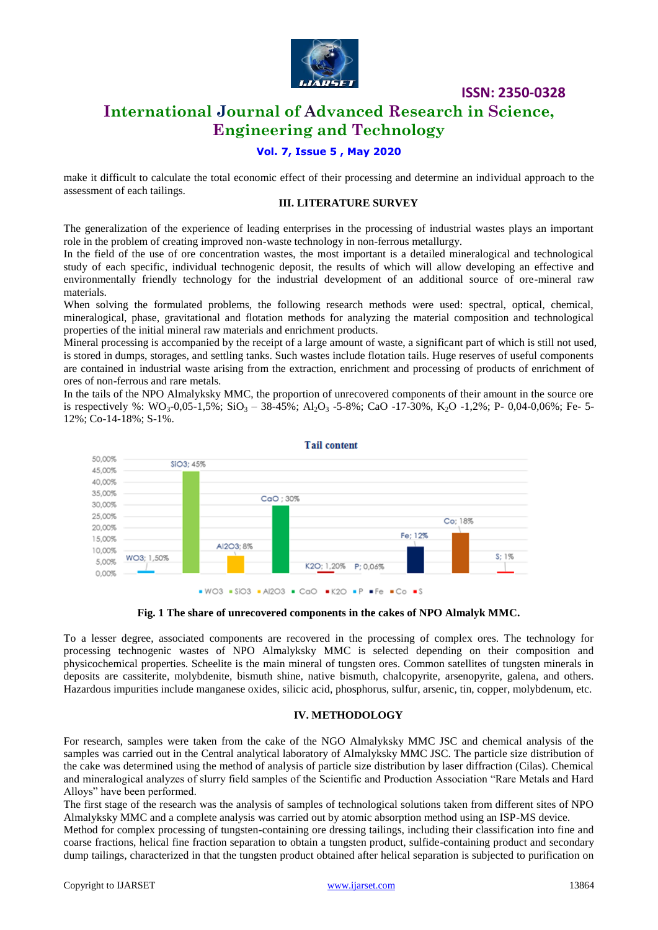

### **International Journal of Advanced Research in Science, Engineering and Technology**

#### **Vol. 7, Issue 5 , May 2020**

make it difficult to calculate the total economic effect of their processing and determine an individual approach to the assessment of each tailings.

#### **III. LITERATURE SURVEY**

The generalization of the experience of leading enterprises in the processing of industrial wastes plays an important role in the problem of creating improved non-waste technology in non-ferrous metallurgy.

In the field of the use of ore concentration wastes, the most important is a detailed mineralogical and technological study of each specific, individual technogenic deposit, the results of which will allow developing an effective and environmentally friendly technology for the industrial development of an additional source of ore-mineral raw materials.

When solving the formulated problems, the following research methods were used: spectral, optical, chemical, mineralogical, phase, gravitational and flotation methods for analyzing the material composition and technological properties of the initial mineral raw materials and enrichment products.

Mineral processing is accompanied by the receipt of a large amount of waste, a significant part of which is still not used, is stored in dumps, storages, and settling tanks. Such wastes include flotation tails. Huge reserves of useful components are contained in industrial waste arising from the extraction, enrichment and processing of products of enrichment of ores of non-ferrous and rare metals.

In the tails of the NPO Almalyksky MMC, the proportion of unrecovered components of their amount in the source ore is respectively %: WO<sub>3</sub>-0,05-1,5%; SiO<sub>3</sub> – 38-45%; Al<sub>2</sub>O<sub>3</sub> -5-8%; CaO -17-30%, K<sub>2</sub>O -1,2%; P- 0,04-0,06%; Fe- 5-12%; Co-14-18%; S-1%.



**Fig. 1 The share of unrecovered components in the cakes of NPO Almalyk MMC.**

To a lesser degree, associated components are recovered in the processing of complex ores. The technology for processing technogenic wastes of NPO Almalyksky MMC is selected depending on their composition and physicochemical properties. Scheelite is the main mineral of tungsten ores. Common satellites of tungsten minerals in deposits are cassiterite, molybdenite, bismuth shine, native bismuth, chalcopyrite, arsenopyrite, galena, and others. Hazardous impurities include manganese oxides, silicic acid, phosphorus, sulfur, arsenic, tin, copper, molybdenum, etc.

#### **IV. METHODOLOGY**

For research, samples were taken from the cake of the NGO Almalyksky MMC JSC and chemical analysis of the samples was carried out in the Central analytical laboratory of Almalyksky MMC JSC. The particle size distribution of the cake was determined using the method of analysis of particle size distribution by laser diffraction (Cilas). Chemical and mineralogical analyzes of slurry field samples of the Scientific and Production Association "Rare Metals and Hard Alloys" have been performed.

The first stage of the research was the analysis of samples of technological solutions taken from different sites of NPO Almalyksky MMC and a complete analysis was carried out by atomic absorption method using an ISP-MS device.

Method for complex processing of tungsten-containing ore dressing tailings, including their classification into fine and coarse fractions, helical fine fraction separation to obtain a tungsten product, sulfide-containing product and secondary dump tailings, characterized in that the tungsten product obtained after helical separation is subjected to purification on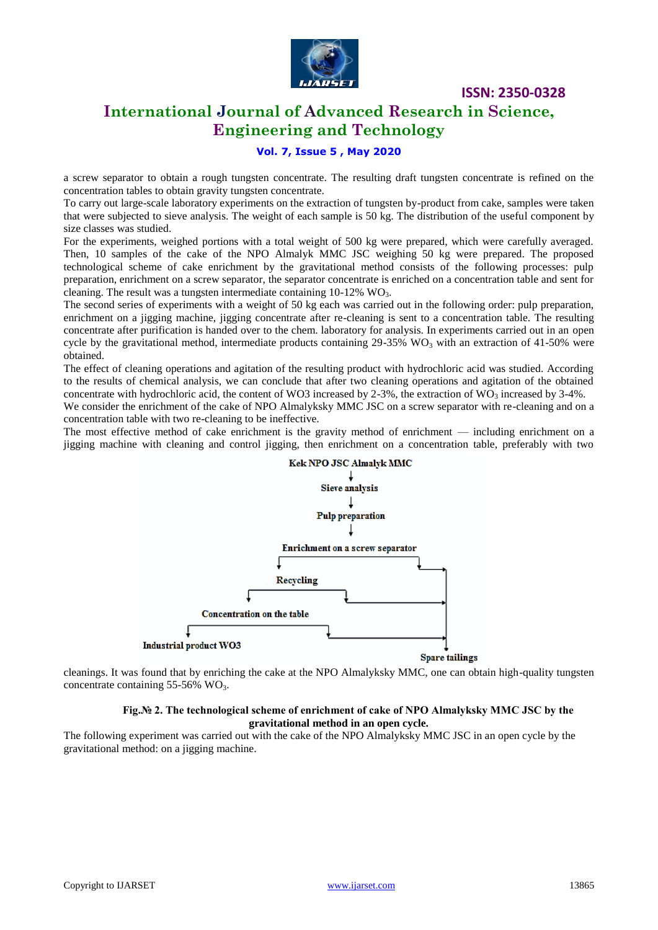

# **International Journal of Advanced Research in Science, Engineering and Technology**

#### **Vol. 7, Issue 5 , May 2020**

a screw separator to obtain a rough tungsten concentrate. The resulting draft tungsten concentrate is refined on the concentration tables to obtain gravity tungsten concentrate.

To carry out large-scale laboratory experiments on the extraction of tungsten by-product from cake, samples were taken that were subjected to sieve analysis. The weight of each sample is 50 kg. The distribution of the useful component by size classes was studied.

For the experiments, weighed portions with a total weight of 500 kg were prepared, which were carefully averaged. Then, 10 samples of the cake of the NPO Almalyk MMC JSC weighing 50 kg were prepared. The proposed technological scheme of cake enrichment by the gravitational method consists of the following processes: pulp preparation, enrichment on a screw separator, the separator concentrate is enriched on a concentration table and sent for cleaning. The result was a tungsten intermediate containing  $10-12\%$  WO<sub>3</sub>.

The second series of experiments with a weight of 50 kg each was carried out in the following order: pulp preparation, enrichment on a jigging machine, jigging concentrate after re-cleaning is sent to a concentration table. The resulting concentrate after purification is handed over to the chem. laboratory for analysis. In experiments carried out in an open cycle by the gravitational method, intermediate products containing 29-35% WO<sub>3</sub> with an extraction of 41-50% were obtained.

The effect of cleaning operations and agitation of the resulting product with hydrochloric acid was studied. According to the results of chemical analysis, we can conclude that after two cleaning operations and agitation of the obtained concentrate with hydrochloric acid, the content of WO3 increased by 2-3%, the extraction of WO<sub>3</sub> increased by 3-4%.

We consider the enrichment of the cake of NPO Almalyksky MMC JSC on a screw separator with re-cleaning and on a concentration table with two re-cleaning to be ineffective.

The most effective method of cake enrichment is the gravity method of enrichment — including enrichment on a jigging machine with cleaning and control jigging, then enrichment on a concentration table, preferably with two



cleanings. It was found that by enriching the cake at the NPO Almalyksky MMC, one can obtain high-quality tungsten concentrate containing  $55-56\%$  WO<sub>3</sub>.

#### **Fig.№ 2. The technological scheme of enrichment of cake of NPO Almalyksky MMC JSC by the gravitational method in an open cycle.**

The following experiment was carried out with the cake of the NPO Almalyksky MMC JSC in an open cycle by the gravitational method: on a jigging machine.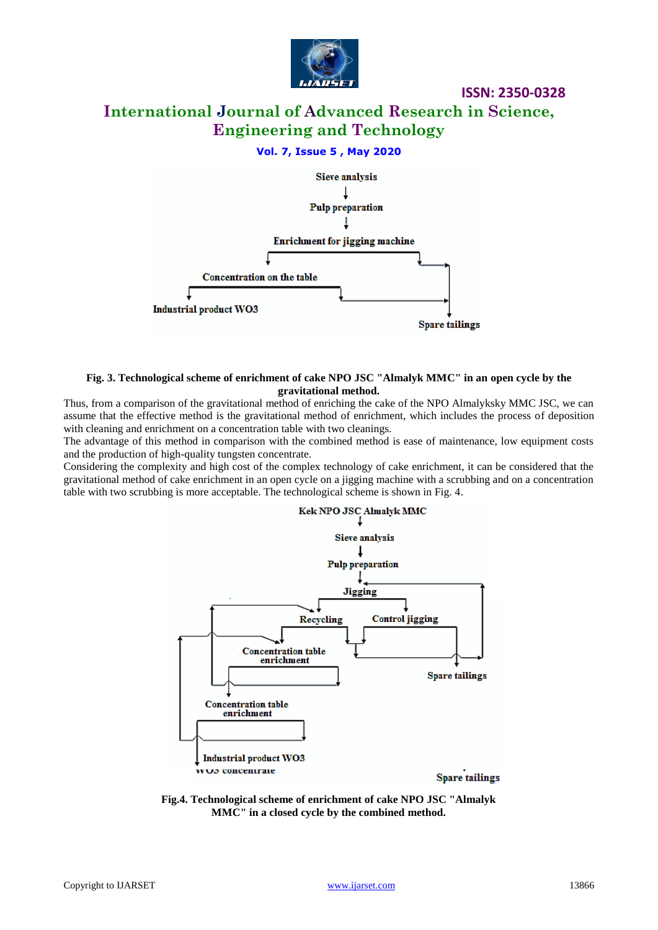

# **International Journal of Advanced Research in Science, Engineering and Technology**

**ISSN: 2350-0328**

#### **Vol. 7, Issue 5 , May 2020**



#### **Fig. 3. Technological scheme of enrichment of cake NPO JSC "Almalyk MMC" in an open cycle by the gravitational method.**

Thus, from a comparison of the gravitational method of enriching the cake of the NPO Almalyksky MMC JSC, we can assume that the effective method is the gravitational method of enrichment, which includes the process of deposition with cleaning and enrichment on a concentration table with two cleanings.

The advantage of this method in comparison with the combined method is ease of maintenance, low equipment costs and the production of high-quality tungsten concentrate.

Considering the complexity and high cost of the complex technology of cake enrichment, it can be considered that the gravitational method of cake enrichment in an open cycle on a jigging machine with a scrubbing and on a concentration table with two scrubbing is more acceptable. The technological scheme is shown in Fig. 4.



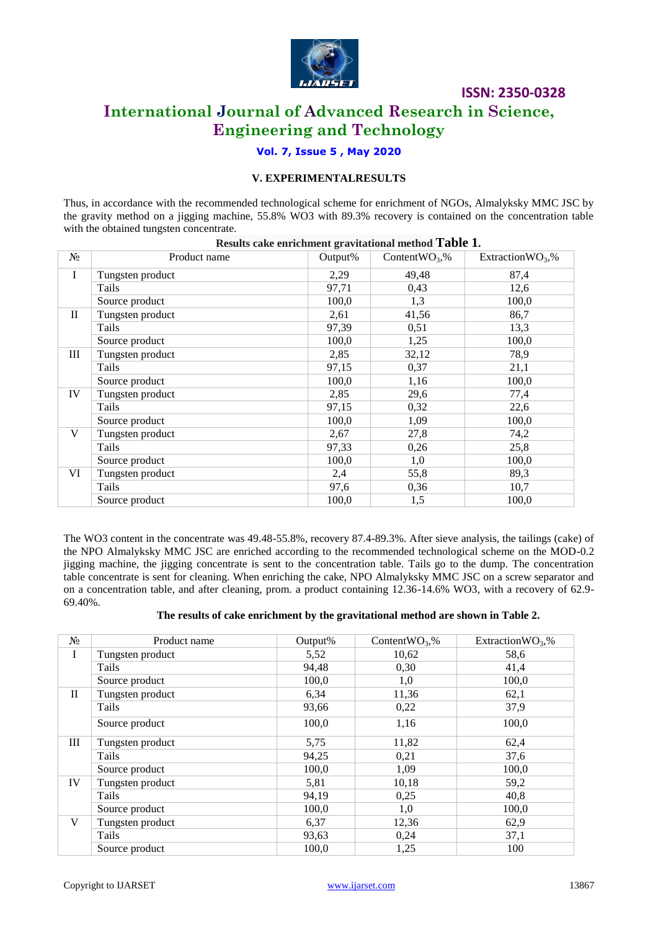

# **International Journal of Advanced Research in Science, Engineering and Technology**

#### **Vol. 7, Issue 5 , May 2020**

#### **V. EXPERIMENTALRESULTS**

Thus, in accordance with the recommended technological scheme for enrichment of NGOs, Almalyksky MMC JSC by the gravity method on a jigging machine, 55.8% WO3 with 89.3% recovery is contained on the concentration table with the obtained tungsten concentrate.

|             |                  | Results cake enrichment gravitational method Table 1. |                    |                     |
|-------------|------------------|-------------------------------------------------------|--------------------|---------------------|
| $N_2$       | Product name     | Output%                                               | Content $WO_3$ , % | Extraction $WO_3$ % |
| $\mathbf I$ | Tungsten product | 2,29                                                  | 49,48              | 87,4                |
|             | Tails            | 97,71                                                 | 0,43               | 12,6                |
|             | Source product   | 100,0                                                 | 1,3                | 100,0               |
| $\rm II$    | Tungsten product | 2,61                                                  | 41,56              | 86,7                |
|             | Tails            | 97,39                                                 | 0,51               | 13,3                |
|             | Source product   | 100,0                                                 | 1,25               | 100,0               |
| Ш           | Tungsten product | 2,85                                                  | 32,12              | 78,9                |
|             | Tails            | 97,15                                                 | 0,37               | 21,1                |
|             | Source product   | 100,0                                                 | 1,16               | 100,0               |
| IV          | Tungsten product | 2,85                                                  | 29,6               | 77,4                |
|             | Tails            | 97,15                                                 | 0,32               | 22,6                |
|             | Source product   | 100,0                                                 | 1,09               | 100,0               |
| V           | Tungsten product | 2,67                                                  | 27,8               | 74,2                |
|             | Tails            | 97,33                                                 | 0,26               | 25,8                |
|             | Source product   | 100,0                                                 | 1,0                | 100,0               |
| VI          | Tungsten product | 2,4                                                   | 55,8               | 89,3                |
|             | Tails            | 97,6                                                  | 0,36               | 10,7                |
|             | Source product   | 100,0                                                 | 1,5                | 100,0               |

The WO3 content in the concentrate was 49.48-55.8%, recovery 87.4-89.3%. After sieve analysis, the tailings (cake) of the NPO Almalyksky MMC JSC are enriched according to the recommended technological scheme on the MOD-0.2 jigging machine, the jigging concentrate is sent to the concentration table. Tails go to the dump. The concentration table concentrate is sent for cleaning. When enriching the cake, NPO Almalyksky MMC JSC on a screw separator and on a concentration table, and after cleaning, prom. a product containing 12.36-14.6% WO3, with a recovery of 62.9- 69.40%.

#### **The results of cake enrichment by the gravitational method are shown in Table 2.**

| N <sub>2</sub> | Product name     | Output% | Content $WO_3$ % | Extraction $WO_3$ % |
|----------------|------------------|---------|------------------|---------------------|
| I              | Tungsten product | 5,52    | 10,62            | 58,6                |
|                | Tails            | 94,48   | 0,30             | 41,4                |
|                | Source product   | 100,0   | 1,0              | 100,0               |
| $\mathbf{I}$   | Tungsten product | 6,34    | 11,36            | 62,1                |
|                | Tails            | 93,66   | 0,22             | 37,9                |
|                | Source product   | 100,0   | 1,16             | 100,0               |
| Ш              | Tungsten product | 5,75    | 11,82            | 62,4                |
|                | Tails            | 94,25   | 0,21             | 37,6                |
|                | Source product   | 100,0   | 1,09             | 100,0               |
| IV             | Tungsten product | 5,81    | 10,18            | 59,2                |
|                | Tails            | 94,19   | 0,25             | 40,8                |
|                | Source product   | 100,0   | 1,0              | 100,0               |
| V              | Tungsten product | 6,37    | 12,36            | 62,9                |
|                | Tails            | 93,63   | 0,24             | 37,1                |
|                | Source product   | 100,0   | 1,25             | 100                 |